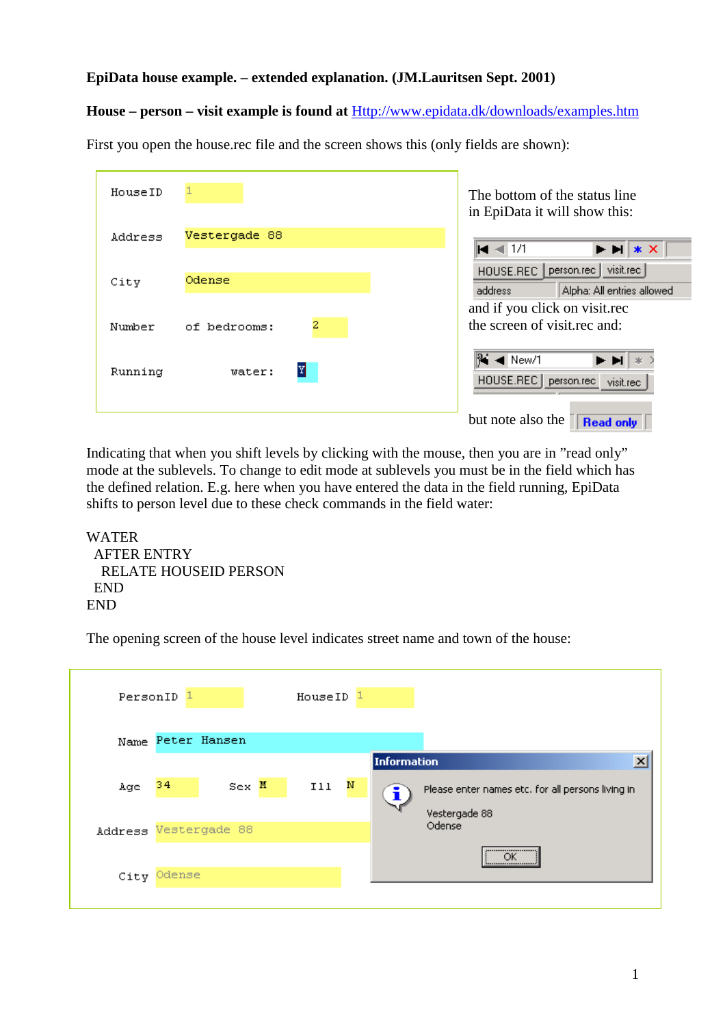## **EpiData house example. – extended explanation. (JM.Lauritsen Sept. 2001)**

## **House – person – visit example is found at** Http://www.epidata.dk/downloads/examples.htm

| HouseID |                   | The bottom of the status line<br>in EpiData it will show this:                                                               |
|---------|-------------------|------------------------------------------------------------------------------------------------------------------------------|
| Address | Vestergade 88     | $M \ll 1/1$<br>$\blacktriangleright$ $\blacktriangleright$ $\blacktriangleright$ $\blacktriangleright$ $\blacktriangleright$ |
| City    | Odense            | visit.rec<br>person.rec  <br>HOUSE.REC<br>Alpha: All entries allowed<br>address<br>and if you click on visit.rec             |
| Number  | 2<br>of bedrooms: | the screen of visit rec and:                                                                                                 |
| Running | Y<br>water:       | $\blacktriangleleft$ New/1<br>E EL<br>HOUSE.REC<br>person.rec<br>visit.rec                                                   |
|         |                   | but note also the<br><b>Read only</b>                                                                                        |

First you open the house.rec file and the screen shows this (only fields are shown):

Indicating that when you shift levels by clicking with the mouse, then you are in "read only" mode at the sublevels. To change to edit mode at sublevels you must be in the field which has the defined relation. E.g. here when you have entered the data in the field running, EpiData shifts to person level due to these check commands in the field water:

```
WATER
 AFTER ENTRY
  RELATE HOUSEID PERSON
 END
END
```
The opening screen of the house level indicates street name and town of the house:

| PersonID              |             |                   | HouseID <sup>1</sup> |                    |                                                   |
|-----------------------|-------------|-------------------|----------------------|--------------------|---------------------------------------------------|
|                       |             | Name Peter Hansen |                      |                    |                                                   |
|                       |             |                   |                      | <b>Information</b> | ×                                                 |
| Age                   | 34          | $Sex$ M           | N<br>Ill             |                    | Please enter names etc. for all persons living in |
|                       |             |                   |                      |                    | Vestergade 88                                     |
| Address Vestergade 88 |             |                   |                      |                    | Odense                                            |
|                       |             |                   |                      |                    | <br>ОK                                            |
|                       | City Odense |                   |                      |                    |                                                   |
|                       |             |                   |                      |                    |                                                   |

**Read only**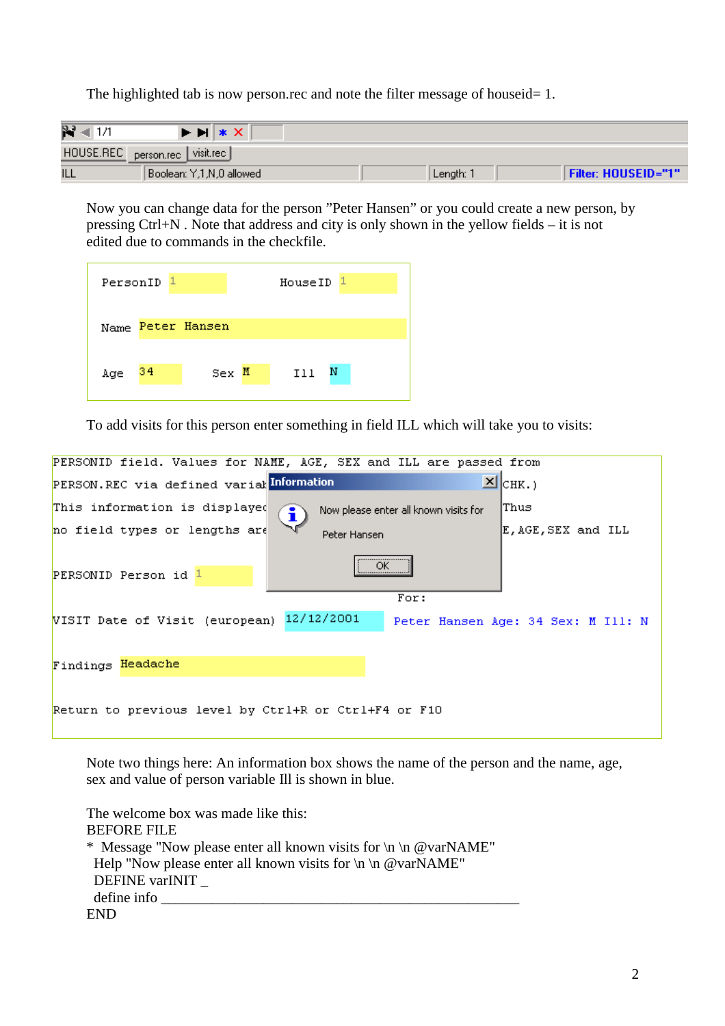The highlighted tab is now person.rec and note the filter message of houseid= 1.

| p.         | $\blacktriangleright$ $\blacktriangleright$ $\blacktriangleright$ $\blacktriangleright$ $\blacktriangleright$ |           |                            |
|------------|---------------------------------------------------------------------------------------------------------------|-----------|----------------------------|
| HOUSE.REC  | visit.rec  <br>person.rec                                                                                     |           |                            |
| <b>ILL</b> | Boolean: Y,1,N,0 allowed                                                                                      | Length: 1 | <b>Filter: HOUSEID="1"</b> |

Now you can change data for the person "Peter Hansen" or you could create a new person, by pressing Ctrl+N . Note that address and city is only shown in the yellow fields – it is not edited due to commands in the checkfile.

|     | PersonID <sup>1</sup> |                   | HouseID <sup>1</sup> |   |
|-----|-----------------------|-------------------|----------------------|---|
|     |                       | Name Peter Hansen |                      |   |
| Age | - 34                  | $Sex$ M           | Ill                  | Ν |

To add visits for this person enter something in field ILL which will take you to visits:

| PERSONID field. Values for NAME, AGE, SEX and ILL are passed from                  |                    |  |  |  |  |
|------------------------------------------------------------------------------------|--------------------|--|--|--|--|
| PERSON.REC via defined varialInformation                                           | $\Sigma$ $ $ CHK.) |  |  |  |  |
| This information is displayed<br>Now please enter all known visits for<br>i)       | lThus              |  |  |  |  |
| no field types or lengths are<br>Peter Hansen                                      | E,AGE,SEX and ILL  |  |  |  |  |
| <br>ОК<br>PERSONID Person id 1                                                     |                    |  |  |  |  |
| For:                                                                               |                    |  |  |  |  |
| 12/12/2001<br>VISIT Date of Visit (european)<br>Peter Hansen Age: 34 Sex: M Ill: N |                    |  |  |  |  |
| Findings Headache                                                                  |                    |  |  |  |  |
| Return to previous level by Ctrl+R or Ctrl+F4 or F10                               |                    |  |  |  |  |

Note two things here: An information box shows the name of the person and the name, age, sex and value of person variable Ill is shown in blue.

The welcome box was made like this: BEFORE FILE \* Message "Now please enter all known visits for  $\ln \omega$  warNAME" Help "Now please enter all known visits for  $\ln \omega$  warNAME" DEFINE varINIT define info END